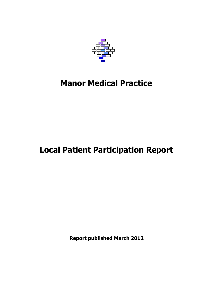

# **Manor Medical Practice**

# **Local Patient Participation Report**

**Report published March 2012**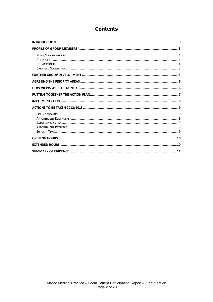# **Contents**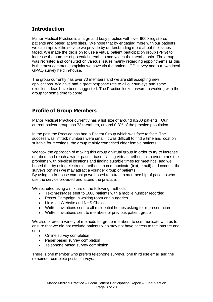# <span id="page-2-0"></span>**Introduction**

Manor Medical Practice is a large and busy practice with over 9000 registered patients and based at two sites. We hope that by engaging more with our patients we can improve the service we provide by understanding more about the issues faced. We made the decision to use a virtual patient participation group (PPG) to increase the number of potential members and widen the membership. The group was recruited and consulted on various issues mainly regarding appointments as this is the most common complaint we have via the national GP survey and our own local GPAQ survey held in-house.

The group currently has over 70 members and we are still accepting new applications. We have had a great response rate to all our surveys and some excellent ideas have been suggested. The Practice looks forward to working with the group for some time to come.

# <span id="page-2-1"></span>**Profile of Group Members**

Manor Medical Practice currently has a list size of around 9,200 patients. Our current patient group has 73 members, around 0.8% of the practice population.

In the past the Practice has had a Patient Group which was face to face. The success was limited; numbers were small; it was difficult to find a time and location suitable for meetings; the group mainly comprised older female patients.

We took the approach of making this group a virtual group in order to try to increase numbers and reach a wider patient base. Using virtual methods also overcomes the problems with physical locations and finding suitable times for meetings, and we hoped that by using electronic methods to communicate (text, email) and conduct the surveys (online) we may attract a younger group of patients.

By using an in-house campaign we hoped to attract a membership of patients who use the service provided and attend the practice.

We recruited using a mixture of the following methods:-

- Text messages sent to 1600 patients with a mobile number recorded
- Poster Campaign in waiting room and surgeries  $\bullet$
- $\bullet$  Links on Website and NHS Choices
- Written invitations sent to all residential homes asking for representation
- Written invitations sent to members of previous patient group

We also offered a variety of methods for group members to communicate with us to ensure that we did not exclude patients who may not have access to the internet and email:

- Online survey completion
- Paper based survey completion
- Telephone based survey completion

There is one member who prefers telephone surveys, one third use email and the remainder complete postal surveys.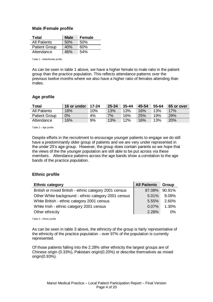### <span id="page-3-0"></span>**Male /Female profile**

| Total                | <b>Male</b> | <b>Female</b> |
|----------------------|-------------|---------------|
| <b>All Patients</b>  | 50%         | .50%          |
| <b>Patient Group</b> | 40%         | 60%           |
| Attendance           | 46%         | 54%           |

Table 1 – Male/female profile

As can be seen in table 1 above, we have a higher female to male ratio in the patient group than the practice population. This reflects attendance patterns over the previous twelve months where we also have a higher ratio of females attending than males.

### <span id="page-3-1"></span>**Age profile**

| Total                | 16 or under | <sup>।</sup> 17-24 | 25-34 | $35 - 44$ | 45-54      | 55-64 | 65 or over |
|----------------------|-------------|--------------------|-------|-----------|------------|-------|------------|
| <b>All Patients</b>  | 18%         | $10\%$             | 13%   | 13%       | $16\%$     | 13%   | 17%        |
| <b>Patient Group</b> | $0\%$       | 4%                 | $7\%$ | 16%       | <b>25%</b> | 19%   | <b>29%</b> |
| Attendance           | 16%         | 9%                 | 13%   | 12%       | 16%        | 13%   | 20%        |

Table 2 – Age profile

Despite efforts in the recruitment to encourage younger patients to engage we do still have a predominantly older group of patients and we are very under represented in the under 25's age group. However, the group does contain parents so we hope that the views of the the younger population are still able to be put across via these members. Attendance patterns across the age bands show a correlation to the age bands of the practice population.

### <span id="page-3-2"></span>**Ethnic profile**

| <b>Ethnic category</b>                                 | <b>All Patients</b> | <b>Group</b> |
|--------------------------------------------------------|---------------------|--------------|
| British or mixed British - ethnic category 2001 census | 87.08%              | 90.91%       |
| Other White background - ethnic category 2001 census   | 5.01%               | 9.09%        |
| White British - ethnic category 2001 census            | 5.55%               | 2.60%        |
| White Irish - ethnic category 2001 census              | 0.07%               | 1.30%        |
| Other ethnicity                                        | 2.28%               | $0\%$        |

Table 3 – Ethnic profile

As can be seen in table 3 above, the ethnicity of the group is fairly representative of the ethnicity of the practice population - over 97% of the population is currently represented.

Of those patients falling into the 2.28% other ethnicity the largest groups are of Chinese origin (0.33%), Pakistani origin(0.20%) or describe themselves as mixed origin(0.93%).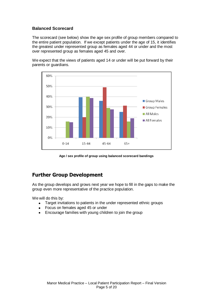### <span id="page-4-0"></span>**Balanced Scorecard**

The scorecard (see below) show the age sex profile of group members compared to the entire patient population. If we except patients under the age of 15, it identifies the greatest under represented group as females aged 44 or under and the most over represented group as females aged 45 and over.

We expect that the views of patients aged 14 or under will be put forward by their parents or guardians.





# <span id="page-4-1"></span>**Further Group Development**

As the group develops and grows next year we hope to fill in the gaps to make the group even more representative of the practice population.

We will do this by:

- Target invitations to patients in the under represented ethnic groups  $\bullet$
- Focus on females aged 45 or under  $\bullet$
- Encourage families with young children to join the group $\bullet$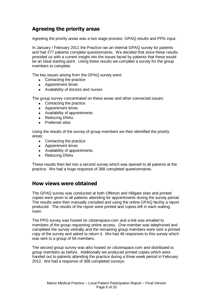# <span id="page-5-0"></span>**Agreeing the priority areas**

Agreeing the priority areas was a two stage process: GPAQ results and PPG input.

In January / February 2011 the Practice ran an internal GPAQ survey for patients and had 277 patients complete questionnaires. We decided that since these results provided us with a current insight into the issues faced by patients that these would be an ideal starting point. Using these results we compiled a survey for the group members to complete.

The key issues arising from the GPAQ survey were:

- Contacting the practice
- Appointment times
- Availability of doctors and nurses

The group survey concentrated on these areas and other connected issues:

- Contacting the practice
- Appointment times
- Availability of appointments
- Reducing DNAs
- $\blacksquare$ Preferred sites

Using the results of the survey of group members we then identified the priority areas:

- Contacting the practice
- Appointment times
- Availability of appointments
- Reducing DNAs

These results then fed into a second survey which was opened to all patients at the practice. We had a huge response of 368 completed questionnaires.

### <span id="page-5-1"></span>**How views were obtained**

The GPAQ survey was conducted at both Offerton and Hillgate sites and printed copies were given to all patients attending for appointments during the survey period. The results were then manually compiled and using the online GPAQ facility a report produced. The results of the report were printed and copies left in each waiting room.

The PPG survey was hosted on citizenspace.com and a link was emailed to members of the group requesting online access. One member was telephoned and completed the survey verbally and the remaining group members were sent a printed copy of the survey and asked to return it. We had 46 responses to this survey which was sent to a group of 56 members.

The second group survey was also hosted on citizenspace.com and distributed to group members as before. Additionally we produced printed copies which were handed out to patients attending the practice during a three week period in February 2012. We had a response of 368 completed surveys.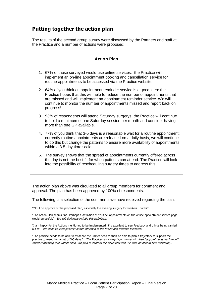# <span id="page-6-0"></span>**Putting together the action plan**

The results of the second group survey were discussed by the Partners and staff at the Practice and a number of actions were proposed:

| <b>Action Plan</b>                                                                                                                                                                                                                                                                                                         |
|----------------------------------------------------------------------------------------------------------------------------------------------------------------------------------------------------------------------------------------------------------------------------------------------------------------------------|
| 1. 67% of those surveyed would use online services: the Practice will<br>implement an on-line appointment booking and cancellation service for<br>routine appointments to be accessed via the Practice website.                                                                                                            |
| 2. 64% of you think an appointment reminder service is a good idea: the<br>Practice hopes that this will help to reduce the number of appointments that<br>are missed and will implement an appointment reminder service. We will<br>continue to monitor the number of appointments missed and report back on<br>progress! |
| 3. 93% of respondents will attend Saturday surgerys: the Practice will continue<br>to hold a minimum of one Saturday session per month and consider having<br>more than one GP available.                                                                                                                                  |
| 4. 77% of you think that 3-5 days is a reasonable wait for a routine appointment;<br>currently routine appointments are released on a daily basis, we will continue<br>to do this but change the patterns to ensure more availability of appointments<br>within a 3-5 day time scale.                                      |
| 5. The survey shows that the spread of appointments currently offered across<br>the day is not the best fit for when patients can attend. The Practice will look<br>into the possibility of rescheduling surgery times to address this.                                                                                    |

The action plan above was circulated to all group members for comment and approval. The plan has been approved by 100% of respondents.

The following is a selection of the comments we have received regarding the plan:

"YES I do approve of the proposed plan, especially the evening surgery for workers Thanks"

"The Action Plan seems fine. Perhaps a definition of 'routine' appointments on the online appointment service page would be useful." We will definitely include this definition.

"I am happy for the Actions mentioned to be implemented, it`s excellent to see Feedback and things being carried out !!" We hope to keep patients better informed in the future and improve feedback.

"The practice needs to be able to evidence the unmet need to then be able to plan a trajectory to support the practice to meet the target of 3-5 days." The Practice has a very high number of missed appointments each month which is masking true unmet need. We plan to address this issue first and will then be able to plan accurately.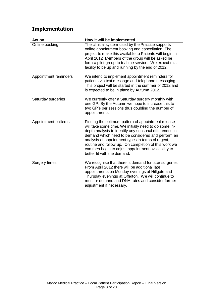# <span id="page-7-0"></span>**Implementation**

| <b>Action</b>         | How it will be implemented                                                                                                                                                                                                                                                                                                                                                                                                     |
|-----------------------|--------------------------------------------------------------------------------------------------------------------------------------------------------------------------------------------------------------------------------------------------------------------------------------------------------------------------------------------------------------------------------------------------------------------------------|
| Online booking        | The clinical system used by the Practice supports<br>online appointment booking and cancellation. The<br>project to make this available to Patients will begin in<br>April 2012. Members of the group will be asked be<br>form a pilot group to trial the service. We expect this<br>facility to be up and running by the end of 2012.                                                                                         |
| Appointment reminders | We intend to implement appointment reminders for<br>patients via text message and telephone messaging.<br>This project will be started in the summer of 2012 and<br>is expected to be in place by Autumn 2012.                                                                                                                                                                                                                 |
| Saturday surgeries    | We currently offer a Saturday surgery monthly with<br>one GP. By the Autumn we hope to increase this to<br>two GP's per sessions thus doubling the number of<br>appointments.                                                                                                                                                                                                                                                  |
| Appointment patterns  | Finding the optimum pattern of appointment release<br>will take some time. We initially need to do some in-<br>depth analysis to identify any seasonal differences in<br>demand which need to be considered and perform an<br>analysis of appointment types in terms of urgent,<br>routine and follow up. On completion of this work we<br>can then begin to adjust appointment availability to<br>better fit with the demand. |
| Surgery times         | We recognise that there is demand for later surgeries.<br>From April 2012 there will be additional late<br>appointments on Monday evenings at Hillgate and<br>Thursday evenings at Offerton. We will continue to<br>monitor demand and DNA rates and consider further<br>adjustment if necessary.                                                                                                                              |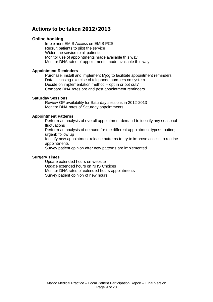# <span id="page-8-0"></span>**Actions to be taken 2012/2013**

### <span id="page-8-1"></span>**Online booking**

Implement EMIS Access on EMIS PCS Recruit patients to pilot the service Widen the service to all patients Monitor use of appointments made available this way Monitor DNA rates of appointments made available this way

### <span id="page-8-2"></span>**Appointment Reminders**

Purchase, install and implement Mjog to facilitate appointment reminders Data cleansing exercise of telephone numbers on system Decide on implementation method – opt in or opt out? Compare DNA rates pre and post appointment reminders

### <span id="page-8-3"></span>**Saturday Sessions**

Review GP availability for Saturday sessions in 2012-2013 Monitor DNA rates of Saturday appointments

### <span id="page-8-4"></span>**Appointment Patterns**

Perform an analysis of overall appointment demand to identify any seasonal fluctuations

Perform an analysis of demand for the different appointment types: routine; urgent; follow up

Identify new appointment release patterns to try to improve access to routine appointments

Survey patient opinion after new patterns are implemented

### <span id="page-8-5"></span>**Surgery Times**

Update extended hours on website Update extended hours on NHS Choices Monitor DNA rates of extended hours appointments Survey patient opinion of new hours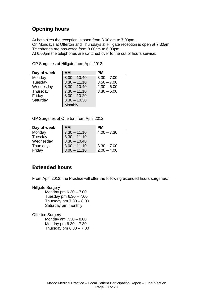# <span id="page-9-0"></span>**Opening hours**

At both sites the reception is open from 8.00 am to 7.00pm. On Mondays at Offerton and Thursdays at Hillgate reception is open at 7.30am. Telephones are answered from 8.00am to 6.00pm. At 6.00pm the telephones are switched over to the out of hours service.

| Day of week | <b>AM</b>      | <b>PM</b>     |
|-------------|----------------|---------------|
| Monday      | $8.00 - 10.40$ | $3.30 - 7.00$ |
| Tuesday     | $8.30 - 11.10$ | $3.50 - 7.00$ |
| Wednesday   | $8.30 - 10.40$ | $2.30 - 6.00$ |
| Thursday    | $7.30 - 11.10$ | $3.30 - 6.00$ |
| Friday      | $8.00 - 10.20$ |               |
| Saturday    | $8.30 - 10.30$ |               |
|             | Monthly        |               |

GP Surgeries at Hillgate from April 2012

GP Surgeries at Offerton from April 2012

| Day of week | AM             | PМ            |
|-------------|----------------|---------------|
| Monday      | $7.30 - 11.10$ | $4.00 - 7.30$ |
| Tuesday     | $8.30 - 11.10$ |               |
| Wednesday   | $8.30 - 10.40$ |               |
| Thursday    | $8.00 - 11.10$ | $3.30 - 7.00$ |
| Friday      | $8.00 - 11.10$ | $2.00 - 4.00$ |

## <span id="page-9-1"></span>**Extended hours**

From April 2012, the Practice will offer the following extended hours surgeries:

Hillgate Surgery

Monday pm 6.30 – 7.00 Tuesday pm 6.30 – 7.00 Thursday am 7.30 – 8.00 Saturday am monthly

### Offerton Surgery

Monday am 7.30 – 8.00 Monday pm 6.30 – 7.30 Thursday pm  $6.30 - 7.00$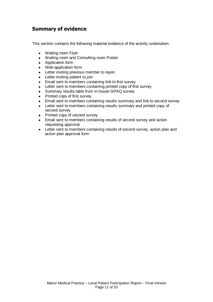# <span id="page-10-0"></span>**Summary of evidence**

This section contains the following material evidence of the activity undertaken:

- Waiting room Flyer
- Waiting room and Consulting room Poster
- Application form  $\bullet$
- Web application form
- **•** Letter inviting previous member to rejoin
- Letter inviting patient to join  $\bullet$
- $\bullet$ Email sent to members containing link to first survey
- Letter sent to members containing printed copy of first survey  $\bullet$
- Summary results table from in-house GPAQ survey
- Printed copy of first survey
- Email sent to members containing results summary and link to second survey  $\bullet$
- Letter sent to members containing results summary and printed copy of  $\bullet$ second survey
- Printed copy of second survey  $\bullet$
- Email sent to members containing results of second survey and action requesting approval
- Letter sent to members containing results of second survey, action plan and  $\bullet$ action plan approval form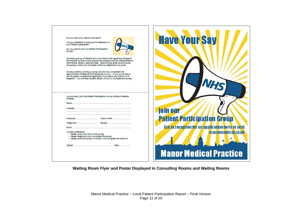| Do you want your views to be heard?<br>Are you interested in giving some feedback on<br>your Patient experience?<br>Do you want to join our Patient Participation<br>Group?<br>We have a group of Patients who we consult with regarding change at<br>the Practice so that we can ensure any changes that are implemented at<br>the Practice reflect a genuine need. Opinions are given anonymously<br>via surveys which you complete online, by telephone or by post. | <b>Have Your Say</b>                                                                                          |
|------------------------------------------------------------------------------------------------------------------------------------------------------------------------------------------------------------------------------------------------------------------------------------------------------------------------------------------------------------------------------------------------------------------------------------------------------------------------|---------------------------------------------------------------------------------------------------------------|
| We are currently running a survey around how convenient the<br>appointments offered at the Practice are for you. If you would like to<br>join in please complete the registration form below and hand it in at<br>reception. You will then be sent details of how to complete the survey.<br>I would like to join the Patient Participation Group at Manor Medical<br>Practice.<br>Name<br>Address.                                                                    | join our                                                                                                      |
| Postcode<br>Telephone<br><b>Email</b><br>Contact preference:-<br>n Please email me a link to the survey<br>n Please telephone me to complete the survey<br>n Please post the survey to me and I will complete and return it                                                                                                                                                                                                                                            | <b>Patient Participation Group</b><br>Ask at reception for an application form or visit<br>manormedical.co.uk |
|                                                                                                                                                                                                                                                                                                                                                                                                                                                                        | <b>Manor Medical Practice</b>                                                                                 |

**Waiting Room Flyer and Poster Displayed in Consulting Rooms and Waiting Rooms**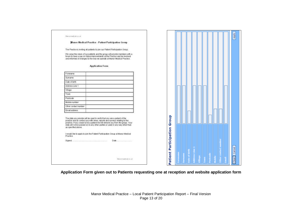| Manemadoia posai     |                                                                                                                                                                                                                                                                                                                            |  |               |  |  |  |  |  |
|----------------------|----------------------------------------------------------------------------------------------------------------------------------------------------------------------------------------------------------------------------------------------------------------------------------------------------------------------------|--|---------------|--|--|--|--|--|
|                      | <b>Manor Medical Practice - Patient Participation Group</b>                                                                                                                                                                                                                                                                |  |               |  |  |  |  |  |
|                      | The Practice is inviting all patients to join our Patient Participation Group.                                                                                                                                                                                                                                             |  |               |  |  |  |  |  |
|                      | We value the views of our patients and the group will provide members with a<br>forum to have a say on future improvements at the Practice and be involved<br>and informed of changes to the way we operate at Manor Medical Practice.                                                                                     |  |               |  |  |  |  |  |
|                      | <b>Application Form</b>                                                                                                                                                                                                                                                                                                    |  |               |  |  |  |  |  |
| Forename             |                                                                                                                                                                                                                                                                                                                            |  |               |  |  |  |  |  |
| Sumame               |                                                                                                                                                                                                                                                                                                                            |  |               |  |  |  |  |  |
|                      |                                                                                                                                                                                                                                                                                                                            |  |               |  |  |  |  |  |
| Date of birth        |                                                                                                                                                                                                                                                                                                                            |  |               |  |  |  |  |  |
| Address Line 1       |                                                                                                                                                                                                                                                                                                                            |  |               |  |  |  |  |  |
| Village              |                                                                                                                                                                                                                                                                                                                            |  |               |  |  |  |  |  |
| Town                 |                                                                                                                                                                                                                                                                                                                            |  |               |  |  |  |  |  |
| Postcode             |                                                                                                                                                                                                                                                                                                                            |  |               |  |  |  |  |  |
| Mobile number        |                                                                                                                                                                                                                                                                                                                            |  |               |  |  |  |  |  |
| Other contact number |                                                                                                                                                                                                                                                                                                                            |  |               |  |  |  |  |  |
| Email address        |                                                                                                                                                                                                                                                                                                                            |  |               |  |  |  |  |  |
| as specified above.  | The data you provide will be used to verify that you are a patient of the<br>practice and to contact you with news, reports and surveys relating to the<br>practice. If you cease to be a patient we will remove you from the group. Your<br>data will not be passed on to any other parties or used in any way other than |  | Group         |  |  |  |  |  |
| Practice.            | I would like to apply to join the Patient Participation Group at Manor Medical                                                                                                                                                                                                                                             |  |               |  |  |  |  |  |
|                      |                                                                                                                                                                                                                                                                                                                            |  | Participation |  |  |  |  |  |
|                      | Manomadical ion of                                                                                                                                                                                                                                                                                                         |  | Patient       |  |  |  |  |  |

**Application Form given out to Patients requesting one at reception and website application form**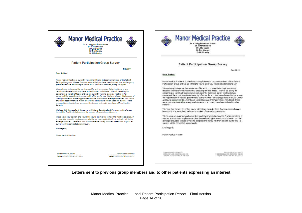| Dr KJ Higginbotham-Jones<br>Dr MJ Parkinson<br>Dr JRB Owen<br>Dr B J Murray<br>Dr M D Leahy                                                                                                                                                                                                                                                                                                                                                                                                                                                                                                                                                                 | Dr KJ Hioginbotham-Jones<br><b>Dr MJ Parkinson</b><br>Dr JRB Owen<br>Dr B J Murray<br>Dr MD Lealny                                                                                                                                                                                                                                                                                                                                                                                                                                                                                                                                                            |
|-------------------------------------------------------------------------------------------------------------------------------------------------------------------------------------------------------------------------------------------------------------------------------------------------------------------------------------------------------------------------------------------------------------------------------------------------------------------------------------------------------------------------------------------------------------------------------------------------------------------------------------------------------------|---------------------------------------------------------------------------------------------------------------------------------------------------------------------------------------------------------------------------------------------------------------------------------------------------------------------------------------------------------------------------------------------------------------------------------------------------------------------------------------------------------------------------------------------------------------------------------------------------------------------------------------------------------------|
| <b>Patient Participation Group Survey</b>                                                                                                                                                                                                                                                                                                                                                                                                                                                                                                                                                                                                                   | <b>Patient Participation Group Survey</b>                                                                                                                                                                                                                                                                                                                                                                                                                                                                                                                                                                                                                     |
| <b>Nov 2011</b>                                                                                                                                                                                                                                                                                                                                                                                                                                                                                                                                                                                                                                             | Dec 2011                                                                                                                                                                                                                                                                                                                                                                                                                                                                                                                                                                                                                                                      |
| Dear Patient.                                                                                                                                                                                                                                                                                                                                                                                                                                                                                                                                                                                                                                               | Dear, Patient,                                                                                                                                                                                                                                                                                                                                                                                                                                                                                                                                                                                                                                                |
| Manor Medical Practice is currently recruiting Patients to become members of the Patient.<br>Participation group. We see from our records that you have been involved in a similar group<br>previously and we are writing to you to ask if you would consider (pining us again?                                                                                                                                                                                                                                                                                                                                                                             | Marior Medical Practice is currently recruiting Patients to become members of the Patient<br>Participation group and we are writing to you to ask if you would consider joining us?                                                                                                                                                                                                                                                                                                                                                                                                                                                                           |
| We are trying to improve the service we offer and to consider Patient opinions in any<br>decisions we make which may have a direct impact on Patients. We will be asking for<br>opinions on a variety of topics and we are currently running a survey relating to how<br>convenient the appointments we currently offer are for you. We have chosen this because of<br>the high number of missed appointments at the Practice - on average more than 200 Doctor<br>and Nurse appointments a month are wasted because the Patient does not attend. These<br>are appointments which are very much in demand and could have been offered to other<br>Patients. | We are trying to improve the service we offer and to consider Patient opinions in any<br>decisions we make which may have a clirect impact on Patients. We will be asking for<br>opinions on a variety of topics and we are currently running a survey relating to how.<br>convenient the appointments we currently offer are for you. We have chosen this because of<br>the high number of missed appointments at the Practice - on average more than 200 Doctor<br>and Nurse appointments a month are wasted because the Patient does not attend. These<br>are appointments which are very much in demand and could have been offered to other<br>Patients. |
| We hope that the results of the survey will help us to understand if we can make changes<br>here at the Practice to help reduce the number of wasted appointments.                                                                                                                                                                                                                                                                                                                                                                                                                                                                                          | We have that the results of the survey will help us to understand if we can make changes.<br>here at the Practice to help reduce the number of wasted appointments.                                                                                                                                                                                                                                                                                                                                                                                                                                                                                           |
| We do value your opinion and would like you to be involved in how the Practice develops, if<br>you are able to assist us please complete the enclosed application form and return it in the<br>envelope provided. Details of how to complete the survey will then be sent out to you - all<br>surveys will be completed anonymously.                                                                                                                                                                                                                                                                                                                        | We do value your opinion and would like you to be involved in how the Practice develops, if<br>you are able to assist us please complete the enclosed application form and return it in the<br>envelope provided. Details of how to complete the survey will then be sent out to you - all<br>surveys will be completed anonymously.                                                                                                                                                                                                                                                                                                                          |
| Kind regards.                                                                                                                                                                                                                                                                                                                                                                                                                                                                                                                                                                                                                                               | Kind regards,                                                                                                                                                                                                                                                                                                                                                                                                                                                                                                                                                                                                                                                 |
| Manor Medical Practice                                                                                                                                                                                                                                                                                                                                                                                                                                                                                                                                                                                                                                      | Manhr Madical Practice                                                                                                                                                                                                                                                                                                                                                                                                                                                                                                                                                                                                                                        |
|                                                                                                                                                                                                                                                                                                                                                                                                                                                                                                                                                                                                                                                             |                                                                                                                                                                                                                                                                                                                                                                                                                                                                                                                                                                                                                                                               |

**Letters sent to previous group members and to other patients expressing an interest**

Manor Medical Practice – Local Patient Participation Report – Final Version Page 14 of 20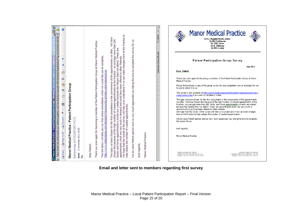|                                                                                                                                                                                                    | We have<br>than 200                                                                                                                                                                                                                                                                                                                                                                                                                                                                                                                                                | $+100%$                                                                                                                                         | <b>Manor Medical Practice</b><br>Dr KJ Higginbotham-Jones<br>Dr MJ Parkinson<br>Dr JRB Owen<br>Dr B J Murrav<br>Dr M D Leahy                                                                                                                                                                                                                                                                                                                                                                                                                                                                   |
|----------------------------------------------------------------------------------------------------------------------------------------------------------------------------------------------------|--------------------------------------------------------------------------------------------------------------------------------------------------------------------------------------------------------------------------------------------------------------------------------------------------------------------------------------------------------------------------------------------------------------------------------------------------------------------------------------------------------------------------------------------------------------------|-------------------------------------------------------------------------------------------------------------------------------------------------|------------------------------------------------------------------------------------------------------------------------------------------------------------------------------------------------------------------------------------------------------------------------------------------------------------------------------------------------------------------------------------------------------------------------------------------------------------------------------------------------------------------------------------------------------------------------------------------------|
| Open&t=IPM.Note&d=RgAAAAum7tgrym2QZskX6Cq36CHB<br>Manor Medical Practice - Patient Participation Group - Windows Internet Explorer provided by<br>÷,<br>×                                          | we can make changes here at the Practice to<br>much appreciate you taking the time to complete the survey for us.<br>Thank you once again for becoming a member of the Patient Participation Group at Manor Medical Practice<br>These are<br>offer.<br>on average more<br>appointments we<br>consultation which we would like you to complete.<br>appointments which are very much in demand and could have been offered to other Patients.<br>the Patient does not attend.<br>Practice<br>of the<br>care/manorsu<br>appointments at the<br>convenience<br>because | Unknown Zone (Mixed)<br>Dear Patient.<br>Medical Practice.<br>to use to return it to us.<br>care/manorsurvey if you wish to complete it online. | <b>Patient Participation Group Survey</b><br>Jan 2012<br>Thank you once again for becoming a member of the Patient Participation Group at Manor<br>Please find enclosed a copy of the group survey for your completion and an envelope for you<br>The survey is also available at http://www.citizenspace.com/stockport-havevoursay/primary-<br>The topic we have chosen for the first consultation is the convenience of the appointments                                                                                                                                                     |
| ×<br>≣<br>s.<br>Ł<br><b>La Forward</b><br>PCT)                                                                                                                                                     | consultation is the<br>wasted<br>missed<br>wasted appointments.<br>a month are<br><b>Aan</b><br>the high number<br>yw.                                                                                                                                                                                                                                                                                                                                                                                                                                             | the survey for us.                                                                                                                              | we offer. We have chosen this because of the high number of missed appointments at the<br>Practice - on average more than 200 Doctor and Nurse appointments a month are wasted<br>because the Patient does not attend. These are appointments which are very much in<br>demand and could have been offered to other Patients.<br>We hope that the results of the survey will help us to understand if we can make changes<br>here at the Practice to help reduce the number of wasted appointments.<br>We do value Patient opinion and we very much appreciate you taking the time to complete |
| Manor Medical Practice - Patient Participation Group<br>https://web.nhs.net/owa/sto-pct.Adminmip@nhs.net/?ae=Item&a<br>Adminnmp (STOCKPORT<br>2011 15:30<br><b>EAR Reply to All</b><br>14 November | We hope that the results of the survey will help us to understand if<br>http://www.citizenspace.com/stockport-havevoursav/primary<br>The link below will take you our first online<br>chosen for the first<br>opinion and<br>appointments<br>á<br>help reduce the number<br>Patient<br>because<br>The topic we have<br>Doctor and Nurse<br>Kind regards,<br>We do value<br>Dear Patient,<br>chosen this                                                                                                                                                            | Kind regards,<br>Manor Medical Practice<br>Manor Medical Practice                                                                               |                                                                                                                                                                                                                                                                                                                                                                                                                                                                                                                                                                                                |
| <b>ARENY</b><br>Sent<br>ľo:                                                                                                                                                                        |                                                                                                                                                                                                                                                                                                                                                                                                                                                                                                                                                                    | OFFERTON HEALTH CENTRE<br>OFFERION LANE STOCKPORI SKISSAR<br>Telephone: 01:142: 91:4 Fax: 01:142: 9130                                          | PHOENEX MEDICAL CENTRE<br><b>14 HEARER HILLGATE, STOCKPORT SIG 3PZ</b><br>Tolephone: 0141424 9144 Fax: 0141 430 3158                                                                                                                                                                                                                                                                                                                                                                                                                                                                           |

**Email and letter sent to members regarding first survey**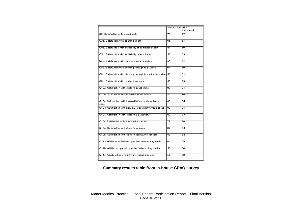|                                                                 | Mean score  GPAQ |                 |
|-----------------------------------------------------------------|------------------|-----------------|
|                                                                 |                  | benchmark       |
| Q2. Satisfaction with receptionists                             | 75               | 77              |
|                                                                 |                  |                 |
| Q3a. Satisfaction with opening hours.                           | 65               | 67              |
|                                                                 |                  |                 |
|                                                                 |                  |                 |
| Q4b. Satisfaction with availability of particular doctor        | 41               | 60              |
|                                                                 |                  |                 |
| Q5b. Satisfaction with availability of any doctor               | 53               | 69              |
|                                                                 |                  |                 |
| Q7b. Satisfaction with waiting times at practice                | 51               | 57              |
|                                                                 |                  |                 |
| Q8a. Satisfaction with phoning through to practice              | 57               | 59              |
|                                                                 |                  |                 |
| Q8b. Satisfaction with phoning through to doctor for advice     | 50               | 61              |
|                                                                 |                  |                 |
| Q9b. Satisfaction with continuity of care                       | 55               | 69              |
|                                                                 |                  |                 |
| Q10a. Satisfaction with doctor's questioning                    | 80               | 81              |
|                                                                 |                  |                 |
| Q10b. Satisfaction with how well doctor listens.                | 82               | $\overline{84}$ |
|                                                                 |                  |                 |
|                                                                 |                  |                 |
| Q10c. Satisfaction with how well doctor puts patient at<br>ease | 80               | 84              |
|                                                                 |                  |                 |
| Q10d. Satisfaction with how much doctor involves patient        | 80               | $\overline{81}$ |
|                                                                 |                  |                 |
| Q10e. Satisfaction with doctor's explanations                   | $\overline{83}$  | $\overline{83}$ |
|                                                                 |                  |                 |
| Q10f. Satisfaction with time doctor spends.                     | 79               | छा              |
|                                                                 |                  |                 |
| Q10g. Satisfaction with doctor's patience                       | 82               | 84              |
|                                                                 |                  |                 |
| Q10h. Satisfaction with doctor's caring and concern             | 83               | 84              |
|                                                                 |                  |                 |
| Q11a. Ability to understand problem after visiting doctor       | 61               | 69              |
|                                                                 |                  |                 |
| Q11b. Ability to cope with problem after visiting doctor.       | 58               | 66              |
|                                                                 |                  |                 |
| Q11c. Ability to keep healthy after visiting doctor             | 55               | 62              |
|                                                                 |                  |                 |
|                                                                 |                  |                 |

**Summary results table from in-house GPAQ survey**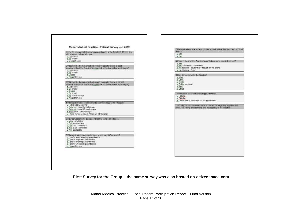| 1. How do you normally book your appointments at the Practice? (Please tick<br>all the boxes that apply to you)<br>a in person<br>a Byphone<br>p Doesn't apply                                                                              | attend?<br>$Q. Y$ es<br>p No<br>B if yes, did you let the Practice know that you were unable to attend?                                                                    |
|---------------------------------------------------------------------------------------------------------------------------------------------------------------------------------------------------------------------------------------------|----------------------------------------------------------------------------------------------------------------------------------------------------------------------------|
| 2 Which of the following methods would you prefer to use to book<br>appointments at the Fractice? (please tick all the boxes that apply to you).<br>a In person<br>a By phone<br>a Online<br>p No preference                                | $D$ Yes<br>o No I didn't think I needed to<br>a No because I couldn't get through on the phone.<br>o No because I forgot<br>9 How do you travel to the Practice?<br>o Walk |
| 3 Which of the following methods would you prefer to use to cancel<br>appointments at the Practice? (please tick all the boxes that apply to you).<br>a in person<br>a Byphone<br>a Online                                                  | o. Drive<br><b>p</b> . Cycle<br>p. Public transport<br>p Taxi<br>p Other                                                                                                   |
| a By email<br>p By lext message<br>p No preference                                                                                                                                                                                          | 10 Which site do you attend for appointments?<br>o Hillcale<br>p Offerton<br>g. I will travel to either site for an appointment.                                           |
| 4 When did you last see or speak to a OP or Nurse at the Practice?<br>a in the past 3 months<br>p Between 3 and 6 months ago<br>p. Between 6 and 12 months ago<br>p. More than 12 months ago<br>g I have never seen a GP from my GP surgery | 11 Finally, do you have comments to make to us regarding appointment.<br>times, cancelling appointments and accessibility of the Practice?                                 |
| 5 How conversent was the appointment you were able to get?<br>a Very convenient<br>g. Fairly corwenient<br>a Not very convenient<br>p Not at all conversient<br>p Not applicable                                                            |                                                                                                                                                                            |
| 6 When is it most convenient for you to see your GP or Nurse?<br>p. I prefer early morning appointments<br>p I prefer daytime appointments<br>p I prefer evening appointments<br>p. I prefer weekend appointments<br>p. No preference       |                                                                                                                                                                            |
|                                                                                                                                                                                                                                             |                                                                                                                                                                            |

**First Survey for the Group – the same survey was also hosted on citizenspace.com**

Manor Medical Practice – Local Patient Participation Report – Final Version Page 17 of 20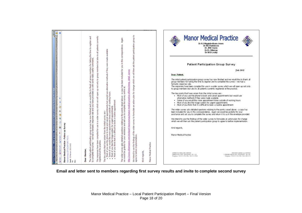| е   Газифоменна каширочника писачения каширочника располага каширования с котором на тру (с) - III - 4  <br>  В   Помериенна каширочника писачения каширочника располага каширочника каширования каширования каширования<br>We intend to use the findings of the wider survey to formulate an action plan for change which we will then ask the patient participation group to<br>agree to before implementation.<br>all patients currently<br>members for taking the time to register and<br>Again<br>In this correspondence.<br>you use the phone to book and care is a serial needs but would use alternative methods if they were made available<br>If you would like more appointment times outside of working hours<br>you like the triage system for urgent ann<br>$\mathbb S$<br>group members but also<br>comments<br>The wider survey asks detailed questions relating to the points raised above - a copy has been included for you<br>we would be grateful for your assistance and ask you to complete the survey online at:<br>really useful<br>Ziazurz<br>droup<br>detail.<br>$\mathfrak s$<br>some<br>would like to thank all<br>only<br>http://www.otizenspace.com/stockport-haveyoursay/manor-medical-practice-offerton/mmp<br>provided us with<br>up not<br>C Manor Medical Practice - Follow up Survey - Windows Internet Explorer provided by Stockport PCT IT Dept.<br>we will open<br>ation group survey has now finished and we we<br>we had a fantastic response rate and you have<br>appointment<br>in a wider survey which<br>like the triage system for urgent appointments<br>think that it is difficult to book a routine appoin<br>須<br>$\times$<br>G<br>损<br>ø<br>Manor Medical Practice - Follow up Survey<br>use<br>The key points that have arisen from the<br>罰<br>compiled for<br>participation<br>Formand<br>PCT)<br>[[web.nhs.net/owa/sto-pct.Ads<br>been<br>(STOCKPORT<br>The responses have been<br>registered at the practice<br>đ<br>to complete the survey<br>Manor Medical Practice<br>V 2012 16:02<br>Elli Reply to All<br>patient<br>hon<br>Dear Member,<br>Some of<br>ð.<br>55<br>Kind regards<br>Most<br>Most<br>Most<br>Administring<br>The initial<br>Sent: $03f$<br>To:<br><b>Canada</b><br>٠<br><b>D</b> Nas<br>The<br>Sco. | <b>Manor Medical Practice</b><br>Dr KJ Higginbotham Jones<br>Dr MJ Parkinson<br>Dr JRB Owen<br>Dr B J Murray<br>Dr M D Leahy<br><b>Patient Participation Group Survey</b><br>Feb 2012<br><b>Dear</b> Patient.<br>The initial patient participation group survey has now finished and we would like to thank all<br>group members for taking the time to register and to complete the survey - we had a<br>fantastic response rate.<br>The responses have been compled for use in a wider survey which we will goen up not only.<br>to group members but also to all patients currently registered at the practice.<br>The key points that have arisen from the initial survey are:-<br>. Most of you use the phone to book and cancel appointments but would use<br>alternative methods if they were made available<br>. Some of you would like more appointment times outside of working hours.<br>Most of you like the triage system for urgent appointments<br>Most of you think that it is difficult to book a routine appointment.<br>The wider survey asks detailed questions relating to the points raised above - a copy has<br>been included for you in this correspondence. Again we would be grateful for your<br>assistance and ask you to complete the survey and return it to us in the envelope provided.<br>We intend to use the findings of the wider survey to formulate an action plan for change<br>which we will then ask the patient participation group to agree to before implementation.<br>Kind regards,<br>Manor Medical Practice<br><b>SPPECTAR HIGHER CRITICE</b><br>PROFITE LODGE ALCOHOLE<br><b>DEPOSITIONS AND RELEASE AND SAFE</b><br>IN REGRES RELIGION TO ITCH EXCHIT (\$1.500)<br>Taleplane, \$2.62.674 Plots Mor. 42-42 434 PD 09-<br>Telephris: 01-0 47+ 13.4 Nov. 41.14 400 21:12 |
|---------------------------------------------------------------------------------------------------------------------------------------------------------------------------------------------------------------------------------------------------------------------------------------------------------------------------------------------------------------------------------------------------------------------------------------------------------------------------------------------------------------------------------------------------------------------------------------------------------------------------------------------------------------------------------------------------------------------------------------------------------------------------------------------------------------------------------------------------------------------------------------------------------------------------------------------------------------------------------------------------------------------------------------------------------------------------------------------------------------------------------------------------------------------------------------------------------------------------------------------------------------------------------------------------------------------------------------------------------------------------------------------------------------------------------------------------------------------------------------------------------------------------------------------------------------------------------------------------------------------------------------------------------------------------------------------------------------------------------------------------------------------------------------------------------------------------------------------------------------------------------------------------------------------------------------------------------------------------------------------------------------------------------------------------------------------------------------------------------------------------------------------------------------------------------------------------------------------------------------------------------------------------------|--------------------------------------------------------------------------------------------------------------------------------------------------------------------------------------------------------------------------------------------------------------------------------------------------------------------------------------------------------------------------------------------------------------------------------------------------------------------------------------------------------------------------------------------------------------------------------------------------------------------------------------------------------------------------------------------------------------------------------------------------------------------------------------------------------------------------------------------------------------------------------------------------------------------------------------------------------------------------------------------------------------------------------------------------------------------------------------------------------------------------------------------------------------------------------------------------------------------------------------------------------------------------------------------------------------------------------------------------------------------------------------------------------------------------------------------------------------------------------------------------------------------------------------------------------------------------------------------------------------------------------------------------------------------------------------------------------------------------------------------------------------------------------------------------------------------------|
|---------------------------------------------------------------------------------------------------------------------------------------------------------------------------------------------------------------------------------------------------------------------------------------------------------------------------------------------------------------------------------------------------------------------------------------------------------------------------------------------------------------------------------------------------------------------------------------------------------------------------------------------------------------------------------------------------------------------------------------------------------------------------------------------------------------------------------------------------------------------------------------------------------------------------------------------------------------------------------------------------------------------------------------------------------------------------------------------------------------------------------------------------------------------------------------------------------------------------------------------------------------------------------------------------------------------------------------------------------------------------------------------------------------------------------------------------------------------------------------------------------------------------------------------------------------------------------------------------------------------------------------------------------------------------------------------------------------------------------------------------------------------------------------------------------------------------------------------------------------------------------------------------------------------------------------------------------------------------------------------------------------------------------------------------------------------------------------------------------------------------------------------------------------------------------------------------------------------------------------------------------------------------------|--------------------------------------------------------------------------------------------------------------------------------------------------------------------------------------------------------------------------------------------------------------------------------------------------------------------------------------------------------------------------------------------------------------------------------------------------------------------------------------------------------------------------------------------------------------------------------------------------------------------------------------------------------------------------------------------------------------------------------------------------------------------------------------------------------------------------------------------------------------------------------------------------------------------------------------------------------------------------------------------------------------------------------------------------------------------------------------------------------------------------------------------------------------------------------------------------------------------------------------------------------------------------------------------------------------------------------------------------------------------------------------------------------------------------------------------------------------------------------------------------------------------------------------------------------------------------------------------------------------------------------------------------------------------------------------------------------------------------------------------------------------------------------------------------------------------------|

**Email and letter sent to members regarding first survey results and invite to complete second survey**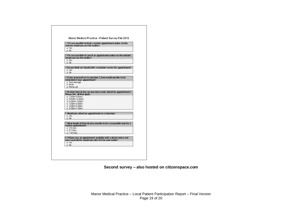| website would you use the facility?  | 1 If it was possible to book a routine appointment online via the    |
|--------------------------------------|----------------------------------------------------------------------|
| o Yes                                |                                                                      |
| 68 <sub>D</sub>                      |                                                                      |
|                                      |                                                                      |
|                                      | 2 If it was possible to cancel an appointment online via the website |
| would you use the facility?<br>a Yes |                                                                      |
| M <sub>D</sub>                       |                                                                      |
|                                      |                                                                      |
|                                      | 3 Do you think we should offer a reminder service for appointments   |
| a Yes                                |                                                                      |
| N <sub>II</sub>                      |                                                                      |
|                                      |                                                                      |
| Strenthricour wor to be briment      | 4 If you answered yes to cuestion 3, how would you like to be        |
| p. Text message                      |                                                                      |
| a Enal                               |                                                                      |
| o Prone call                         |                                                                      |
|                                      |                                                                      |
| Please tick all that apply.          | 5 At what time of day can you most easily attend for appointments?   |
| p. 7.30am-9.00am                     |                                                                      |
| a 9.00am-11.00am                     |                                                                      |
| g 11.00am-1.00pm                     |                                                                      |
| a 100om-3.00pm                       |                                                                      |
| $n$ 300 $nn5.30nn$                   |                                                                      |
| a 530pm7.30pm                        |                                                                      |
|                                      | 6 Would you attend an appointment on a Saturday?                     |
| a Yes                                |                                                                      |
| 0 <sup>h</sup>                       |                                                                      |
|                                      |                                                                      |
|                                      | 7 What length of time do you consider to be a reasonable wait for a  |
| routine appointment?<br>a.35 days    |                                                                      |
| a 5-7 days                           |                                                                      |
| g 7-10 days                          |                                                                      |
|                                      |                                                                      |
|                                      | 9 If there was an appointment available with a doctor who is not     |
|                                      | your usual doctor would you take it to be seen earlier?              |
| any in                               |                                                                      |
| 0 <sup>1</sup>                       |                                                                      |

**Second survey – also hosted on citizenspace.com**